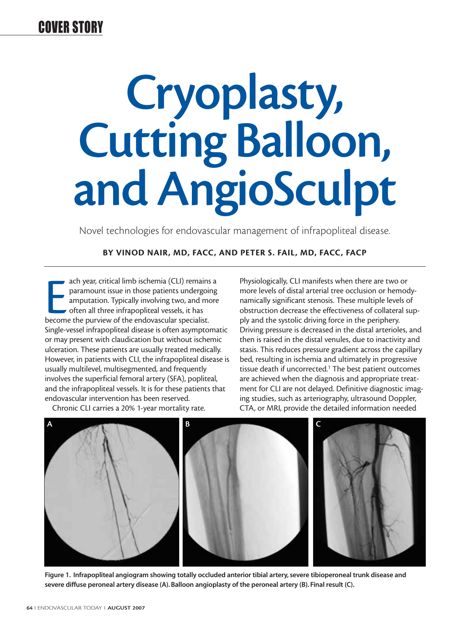# **Cryoplasty, Cutting Balloon, and AngioSculpt**

Novel technologies for endovascular management of infrapopliteal disease.

#### **BY VINOD NAIR, MD, FACC, AND PETER S. FAIL, MD, FACC, FACP**

ach year, critical limb ischemia (CLI) remainment paramount issue in those patients undergoid amputation. Typically involving two, and motion of the endovascular specialist. ach year, critical limb ischemia (CLI) remains a paramount issue in those patients undergoing amputation. Typically involving two, and more  $\bullet$  often all three infrapopliteal vessels, it has Single-vessel infrapopliteal disease is often asymptomatic or may present with claudication but without ischemic ulceration. These patients are usually treated medically. However, in patients with CLI, the infrapopliteal disease is usually multilevel, multisegmented, and frequently involves the superficial femoral artery (SFA), popliteal, and the infrapopliteal vessels. It is for these patients that endovascular intervention has been reserved.

Chronic CLI carries a 20% 1-year mortality rate.

Physiologically, CLI manifests when there are two or more levels of distal arterial tree occlusion or hemodynamically significant stenosis. These multiple levels of obstruction decrease the effectiveness of collateral supply and the systolic driving force in the periphery. Driving pressure is decreased in the distal arterioles, and then is raised in the distal venules, due to inactivity and stasis. This reduces pressure gradient across the capillary bed, resulting in ischemia and ultimately in progressive tissue death if uncorrected. $1$  The best patient outcomes are achieved when the diagnosis and appropriate treatment for CLI are not delayed. Definitive diagnostic imaging studies, such as arteriography, ultrasound Doppler, CTA, or MRI, provide the detailed information needed



**Figure 1. Infrapopliteal angiogram showing totally occluded anterior tibial artery, severe tibioperoneal trunk disease and severe diffuse peroneal artery disease (A). Balloon angioplasty of the peroneal artery (B). Final result (C).**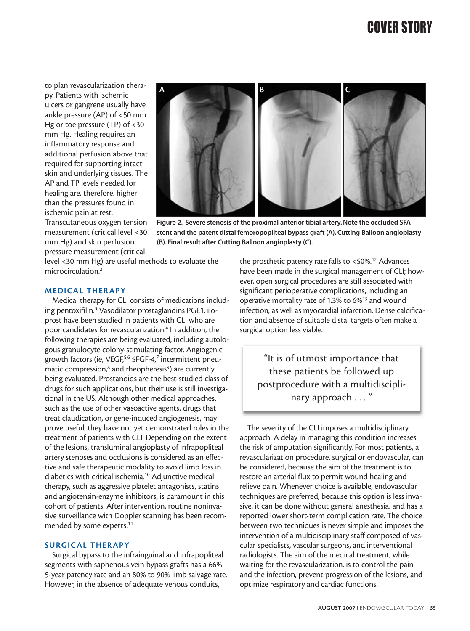to plan revascularization therapy. Patients with ischemic ulcers or gangrene usually have ankle pressure (AP) of <50 mm Hg or toe pressure (TP) of <30 mm Hg. Healing requires an inflammatory response and additional perfusion above that required for supporting intact skin and underlying tissues. The AP and TP levels needed for healing are, therefore, higher than the pressures found in ischemic pain at rest.



**stent and the patent distal femoropopliteal bypass graft (A). Cutting Balloon angioplasty**

**(B). Final result after Cutting Balloon angioplasty (C).**

Transcutaneous oxygen tension measurement (critical level <30 mm Hg) and skin perfusion pressure measurement (critical

level <30 mm Hg) are useful methods to evaluate the microcirculation.2

**MEDICAL THERAPY**

Medical therapy for CLI consists of medications including pentoxifilin.3 Vasodilator prostaglandins PGE1, iloprost have been studied in patients with CLI who are poor candidates for revascularization.<sup>4</sup> In addition, the following therapies are being evaluated, including autologous granulocyte colony-stimulating factor. Angiogenic growth factors (ie, VEGF,<sup>5,6</sup> 5FGF-4,7 intermittent pneumatic compression,<sup>8</sup> and rheopheresis<sup>9</sup>) are currently being evaluated. Prostanoids are the best-studied class of drugs for such applications, but their use is still investigational in the US. Although other medical approaches, such as the use of other vasoactive agents, drugs that treat claudication, or gene-induced angiogenesis, may prove useful, they have not yet demonstrated roles in the treatment of patients with CLI. Depending on the extent of the lesions, transluminal angioplasty of infrapopliteal artery stenoses and occlusions is considered as an effective and safe therapeutic modality to avoid limb loss in diabetics with critical ischemia.10 Adjunctive medical therapy, such as aggressive platelet antagonists, statins and angiotensin-enzyme inhibitors, is paramount in this cohort of patients. After intervention, routine noninvasive surveillance with Doppler scanning has been recommended by some experts.<sup>11</sup>

#### **SURGICAL THERAPY**

Surgical bypass to the infrainguinal and infrapopliteal segments with saphenous vein bypass grafts has a 66% 5-year patency rate and an 80% to 90% limb salvage rate. However, in the absence of adequate venous conduits,

the prosthetic patency rate falls to <50%.12 Advances have been made in the surgical management of CLI; however, open surgical procedures are still associated with significant perioperative complications, including an operative mortality rate of 1.3% to 6%13 and wound infection, as well as myocardial infarction. Dense calcification and absence of suitable distal targets often make a surgical option less viable.

"It is of utmost importance that these patients be followed up postprocedure with a multidisciplinary approach . . . "

The severity of the CLI imposes a multidisciplinary approach. A delay in managing this condition increases the risk of amputation significantly. For most patients, a revascularization procedure, surgical or endovascular, can be considered, because the aim of the treatment is to restore an arterial flux to permit wound healing and relieve pain. Whenever choice is available, endovascular techniques are preferred, because this option is less invasive, it can be done without general anesthesia, and has a reported lower short-term complication rate. The choice between two techniques is never simple and imposes the intervention of a multidisciplinary staff composed of vascular specialists, vascular surgeons, and interventional radiologists. The aim of the medical treatment, while waiting for the revascularization, is to control the pain and the infection, prevent progression of the lesions, and optimize respiratory and cardiac functions.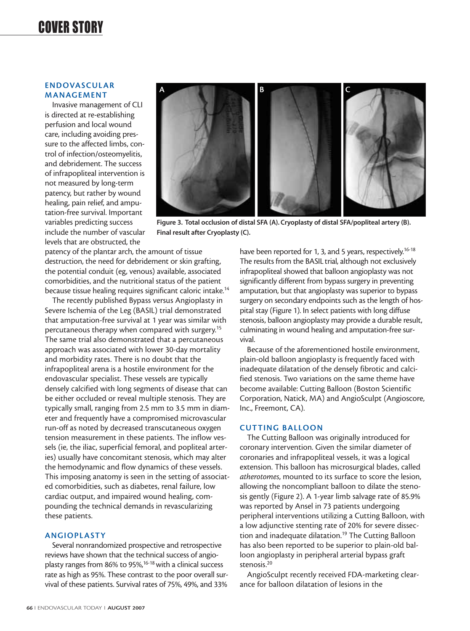#### **ENDOVASCULAR MANAGEMENT**

Invasive management of CLI is directed at re-establishing perfusion and local wound care, including avoiding pressure to the affected limbs, control of infection/osteomyelitis, and debridement. The success of infrapopliteal intervention is not measured by long-term patency, but rather by wound healing, pain relief, and amputation-free survival. Important variables predicting success include the number of vascular levels that are obstructed, the



**Figure 3. Total occlusion of distal SFA (A). Cryoplasty of distal SFA/popliteal artery (B). Final result after Cryoplasty (C).**

patency of the plantar arch, the amount of tissue destruction, the need for debridement or skin grafting, the potential conduit (eg, venous) available, associated comorbidities, and the nutritional status of the patient because tissue healing requires significant caloric intake.14

The recently published Bypass versus Angioplasty in Severe Ischemia of the Leg (BASIL) trial demonstrated that amputation-free survival at 1 year was similar with percutaneous therapy when compared with surgery.15 The same trial also demonstrated that a percutaneous approach was associated with lower 30-day mortality and morbidity rates. There is no doubt that the infrapopliteal arena is a hostile environment for the endovascular specialist. These vessels are typically densely calcified with long segments of disease that can be either occluded or reveal multiple stenosis. They are typically small, ranging from 2.5 mm to 3.5 mm in diameter and frequently have a compromised microvascular run-off as noted by decreased transcutaneous oxygen tension measurement in these patients. The inflow vessels (ie, the iliac, superficial femoral, and popliteal arteries) usually have concomitant stenosis, which may alter the hemodynamic and flow dynamics of these vessels. This imposing anatomy is seen in the setting of associated comorbidities, such as diabetes, renal failure, low cardiac output, and impaired wound healing, compounding the technical demands in revascularizing these patients.

#### **ANGIOPLASTY**

Several nonrandomized prospective and retrospective reviews have shown that the technical success of angioplasty ranges from 86% to 95%,<sup>16-18</sup> with a clinical success rate as high as 95%. These contrast to the poor overall survival of these patients. Survival rates of 75%, 49%, and 33%

have been reported for 1, 3, and 5 years, respectively.<sup>16-18</sup> The results from the BASIL trial, although not exclusively infrapopliteal showed that balloon angioplasty was not significantly different from bypass surgery in preventing amputation, but that angioplasty was superior to bypass surgery on secondary endpoints such as the length of hospital stay (Figure 1). In select patients with long diffuse stenosis, balloon angioplasty may provide a durable result, culminating in wound healing and amputation-free survival.

Because of the aforementioned hostile environment, plain-old balloon angioplasty is frequently faced with inadequate dilatation of the densely fibrotic and calcified stenosis. Two variations on the same theme have become available: Cutting Balloon (Boston Scientific Corporation, Natick, MA) and AngioSculpt (Angioscore, Inc., Freemont, CA).

#### **CUTTING BALLOON**

The Cutting Balloon was originally introduced for coronary intervention. Given the similar diameter of coronaries and infrapopliteal vessels, it was a logical extension. This balloon has microsurgical blades, called *atherotomes*, mounted to its surface to score the lesion, allowing the noncompliant balloon to dilate the stenosis gently (Figure 2). A 1-year limb salvage rate of 85.9% was reported by Ansel in 73 patients undergoing peripheral interventions utilizing a Cutting Balloon, with a low adjunctive stenting rate of 20% for severe dissection and inadequate dilatation.<sup>19</sup> The Cutting Balloon has also been reported to be superior to plain-old balloon angioplasty in peripheral arterial bypass graft stenosis.<sup>20</sup>

AngioSculpt recently received FDA-marketing clearance for balloon dilatation of lesions in the